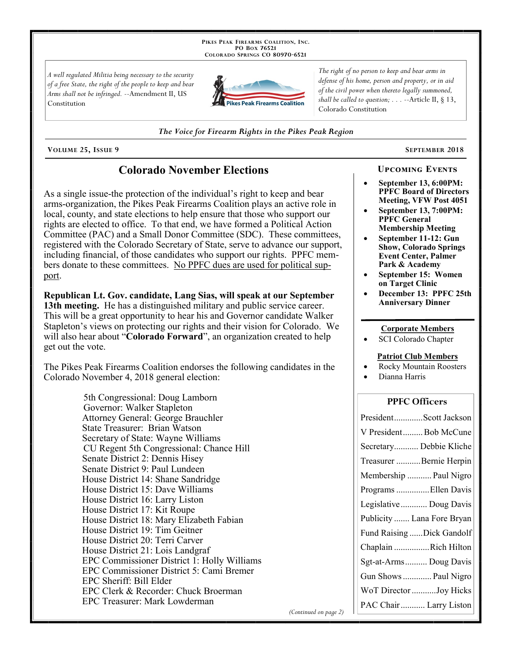PIKES PEAK FIREARMS COALITION, INC. PO Box 76521 COLORADO SPRINGS CO 80970-6521

A well regulated Militia being necessary to the security of a free State, the right of the people to keep and bear Arms shall not be infringed. --Amendment II, US Constitution



The right of no person to keep and bear arms in defense of his home, person and property, or in aid of the civil power when thereto legally summoned, shall be called to question;  $\ldots$  --Article II, § 13, Colorado Constitution

The Voice for Firearm Rights in the Pikes Peak Region

VOLUME 25, ISSUE 9

# **Colorado November Elections**

As a single issue-the protection of the individual's right to keep and bear arms-organization, the Pikes Peak Firearms Coalition plays an active role in local, county, and state elections to help ensure that those who support our rights are elected to office. To that end, we have formed a Political Action Committee (PAC) and a Small Donor Committee (SDC). These committees, registered with the Colorado Secretary of State, serve to advance our support, including financial, of those candidates who support our rights. PPFC members donate to these committees. No PPFC dues are used for political support.

Republican Lt. Gov. candidate, Lang Sias, will speak at our September 13th meeting. He has a distinguished military and public service career. This will be a great opportunity to hear his and Governor candidate Walker Stapleton's views on protecting our rights and their vision for Colorado. We will also hear about "Colorado Forward", an organization created to help get out the vote.

The Pikes Peak Firearms Coalition endorses the following candidates in the Colorado November 4, 2018 general election:

> 5th Congressional: Doug Lamborn Governor: Walker Stapleton Attorney General: George Brauchler State Treasurer: Brian Watson Secretary of State: Wayne Williams CU Regent 5th Congressional: Chance Hill Senate District 2: Dennis Hisey Senate District 9: Paul Lundeen House District 14: Shane Sandridge House District 15: Dave Williams House District 16: Larry Liston House District 17: Kit Roupe House District 18: Mary Elizabeth Fabian House District 19: Tim Geitner House District 20: Terri Carver House District 21: Lois Landgraf EPC Commissioner District 1: Holly Williams EPC Commissioner District 5: Cami Bremer EPC Sheriff: Bill Elder EPC Clerk & Recorder: Chuck Broerman EPC Treasurer: Mark Lowderman

SEPTEMBER 2018

September 13, 6:00PM: **PPFC Board of Directors** 

**UPCOMING EVENTS** 

- Meeting, VFW Post 4051 September 13, 7:00PM: **PPFC General Membership Meeting**
- September 11-12: Gun **Show, Colorado Springs Event Center, Palmer** Park & Academy
- September 15: Women on Target Clinic
- December 13: PPFC 25th **Anniversary Dinner**

#### **Corporate Members**

SCI Colorado Chapter

#### **Patriot Club Members**

- **Rocky Mountain Roosters**
- Dianna Harris

### **PPFC Officers**

| PresidentScott Jackson     |
|----------------------------|
| V PresidentBob McCune      |
| Secretary Debbie Kliche    |
| Treasurer Bernie Herpin    |
| Membership  Paul Nigro     |
| Programs Ellen Davis       |
| Legislative Doug Davis     |
| Publicity  Lana Fore Bryan |
| Fund Raising Dick Gandolf  |
| Chaplain Rich Hilton       |
| Sgt-at-Arms Doug Davis     |
| Gun Shows  Paul Nigro      |
| WoT Director Joy Hicks     |
| PAC Chair  Larry Liston    |

(Continued on page 2)